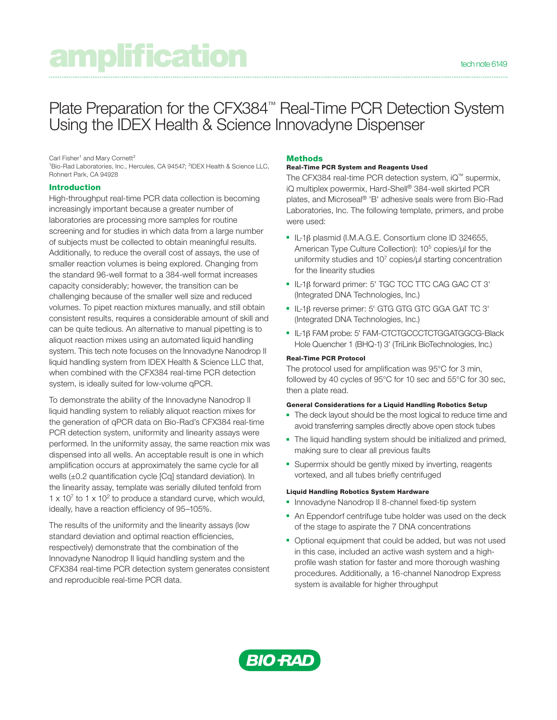# amplification technole 6149

# Plate Preparation for the CFX384™ Real-Time PCR Detection System Using the IDEX Health & Science Innovadyne Dispenser

Carl Fisher<sup>1</sup> and Mary Cornett<sup>2</sup>

<sup>1</sup>Bio-Rad Laboratories, Inc., Hercules, CA 94547; <sup>2</sup>IDEX Health & Science LLC, Rohnert Park, CA 94928

## Introduction

High-throughput real-time PCR data collection is becoming increasingly important because a greater number of laboratories are processing more samples for routine screening and for studies in which data from a large number of subjects must be collected to obtain meaningful results. Additionally, to reduce the overall cost of assays, the use of smaller reaction volumes is being explored. Changing from the standard 96-well format to a 384-well format increases capacity considerably; however, the transition can be challenging because of the smaller well size and reduced volumes. To pipet reaction mixtures manually, and still obtain consistent results, requires a considerable amount of skill and can be quite tedious. An alternative to manual pipetting is to aliquot reaction mixes using an automated liquid handling system. This tech note focuses on the Innovadyne Nanodrop II liquid handling system from IDEX Health & Science LLC that, when combined with the CFX384 real-time PCR detection system, is ideally suited for low-volume qPCR.

To demonstrate the ability of the Innovadyne Nanodrop II liquid handling system to reliably aliquot reaction mixes for the generation of qPCR data on Bio-Rad's CFX384 real-time PCR detection system, uniformity and linearity assays were performed. In the uniformity assay, the same reaction mix was dispensed into all wells. An acceptable result is one in which amplification occurs at approximately the same cycle for all wells (±0.2 quantification cycle [Cq] standard deviation). In the linearity assay, template was serially diluted tenfold from  $1 \times 10^7$  to 1 x 10<sup>2</sup> to produce a standard curve, which would, ideally, have a reaction efficiency of 95–105%.

The results of the uniformity and the linearity assays (low standard deviation and optimal reaction efficiencies, respectively) demonstrate that the combination of the Innovadyne Nanodrop II liquid handling system and the CFX384 real-time PCR detection system generates consistent and reproducible real-time PCR data.

## **Methods**

#### Real-Time PCR System and Reagents Used

The CFX384 real-time PCR detection system, iQ™ supermix, iQ multiplex powermix, Hard-Shell® 384-well skirted PCR plates, and Microseal® 'B' adhesive seals were from Bio-Rad Laboratories, Inc. The following template, primers, and probe were used:

- IL-1β plasmid (I.M.A.G.E. Consortium clone ID 324655, American Type Culture Collection): 10<sup>5</sup> copies/ul for the uniformity studies and  $10<sup>7</sup>$  copies/ $\mu$  starting concentration for the linearity studies
- IL-1β forward primer: 5' TGC TCC TTC CAG GAC CT 3' (Integrated DNA Technologies, Inc.)
- IL-1β reverse primer: 5' GTG GTG GTC GGA GAT TC 3' (Integrated DNA Technologies, Inc.)
- IL-1β FAM probe: 5' FAM-CTCTGCCCTCTGGATGGCG-Black Hole Quencher 1 (BHQ-1) 3' (TriLink BioTechnologies, Inc.)

#### Real-Time PCR Protocol

The protocol used for amplification was 95°C for 3 min, followed by 40 cycles of 95°C for 10 sec and 55°C for 30 sec, then a plate read.

#### General Considerations for a Liquid Handling Robotics Setup

- The deck layout should be the most logical to reduce time and avoid transferring samples directly above open stock tubes
- The liquid handling system should be initialized and primed, making sure to clear all previous faults
- Supermix should be gently mixed by inverting, reagents vortexed, and all tubes briefly centrifuged

#### Liquid Handling Robotics System Hardware

- Innovadyne Nanodrop II 8-channel fixed-tip system
- An Eppendorf centrifuge tube holder was used on the deck of the stage to aspirate the 7 DNA concentrations
- Optional equipment that could be added, but was not used in this case, included an active wash system and a highprofile wash station for faster and more thorough washing procedures. Additionally, a 16-channel Nanodrop Express system is available for higher throughput

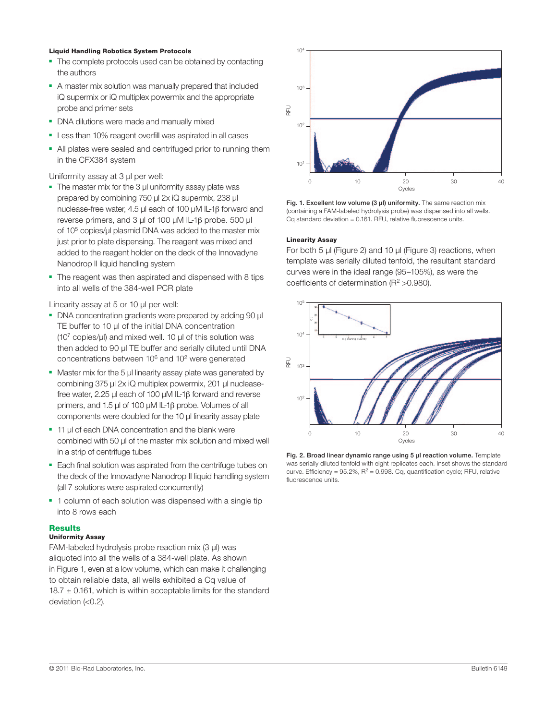#### Liquid Handling Robotics System Protocols

- The complete protocols used can be obtained by contacting the authors
- A master mix solution was manually prepared that included iQ supermix or iQ multiplex powermix and the appropriate probe and primer sets
- DNA dilutions were made and manually mixed
- Less than 10% reagent overfill was aspirated in all cases
- All plates were sealed and centrifuged prior to running them in the CFX384 system

Uniformity assay at 3 µl per well:

- The master mix for the 3 µ uniformity assay plate was prepared by combining 750 µl 2x iQ supermix, 238 µl nuclease-free water, 4.5 µl each of 100 µM IL-1β forward and reverse primers, and 3 µl of 100 µM IL-1β probe. 500 µl of 105 copies/µl plasmid DNA was added to the master mix just prior to plate dispensing. The reagent was mixed and added to the reagent holder on the deck of the Innovadyne Nanodrop II liquid handling system
- The reagent was then aspirated and dispensed with 8 tips into all wells of the 384-well PCR plate

Linearity assay at 5 or 10 µl per well:

- DNA concentration gradients were prepared by adding 90 µl TE buffer to 10 µl of the initial DNA concentration  $(10<sup>7</sup>$  copies/ $\mu$ I) and mixed well. 10  $\mu$ I of this solution was then added to 90 µl TE buffer and serially diluted until DNA concentrations between 106 and 102 were generated
- Master mix for the 5 µl linearity assay plate was generated by combining 375 µl 2x iQ multiplex powermix, 201 µl nucleasefree water, 2.25 µl each of 100 µM IL-1β forward and reverse primers, and 1.5 µl of 100 µM IL-1β probe. Volumes of all components were doubled for the 10 µl linearity assay plate
- 11 µl of each DNA concentration and the blank were combined with 50 µl of the master mix solution and mixed well in a strip of centrifuge tubes
- Each final solution was aspirated from the centrifuge tubes on the deck of the Innovadyne Nanodrop II liquid handling system (all 7 solutions were aspirated concurrently)
- 1 column of each solution was dispensed with a single tip into 8 rows each

#### **Results**

#### Uniformity Assay

FAM-labeled hydrolysis probe reaction mix (3 µl) was aliquoted into all the wells of a 384-well plate. As shown in Figure 1, even at a low volume, which can make it challenging to obtain reliable data, all wells exhibited a Cq value of  $18.7 \pm 0.161$ , which is within acceptable limits for the standard deviation (<0.2).



Fig. 1. Excellent low volume (3 µl) uniformity. The same reaction mix (containing a FAM-labeled hydrolysis probe) was dispensed into all wells. Cq standard deviation = 0.161. RFU, relative fluorescence units.

#### Linearity Assay

For both 5 µl (Figure 2) and 10 µl (Figure 3) reactions, when template was serially diluted tenfold, the resultant standard curves were in the ideal range (95–105%), as were the coefficients of determination ( $R^2 > 0.980$ ).



Fig. 2. Broad linear dynamic range using 5 µl reaction volume. Template was serially diluted tenfold with eight replicates each. Inset shows the standard curve. Efficiency =  $95.2\%$ , R<sup>2</sup> = 0.998. Cq, quantification cycle; RFU, relative fluorescence units.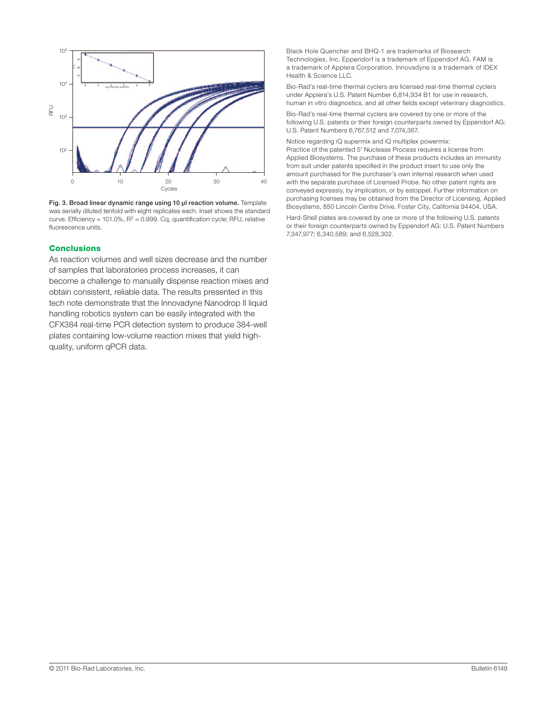

Fig. 3. Broad linear dynamic range using 10 µl reaction volume. Template was serially diluted tenfold with eight replicates each. Inset shows the standard curve. Efficiency = 101.0%,  $R^2 = 0.999$ . Cq, quantification cycle; RFU, relative

#### **Conclusions**

As reaction volumes and well sizes decrease and the number of samples that laboratories process increases, it can become a challenge to manually dispense reaction mixes and obtain consistent, reliable data. The results presented in this tech note demonstrate that the Innovadyne Nanodrop II liquid handling robotics system can be easily integrated with the CFX384 real-time PCR detection system to produce 384-well plates containing low-volume reaction mixes that yield highquality, uniform qPCR data.

Black Hole Quencher and BHQ-1 are trademarks of Biosearch Technologies, Inc. Eppendorf is a trademark of Eppendorf AG. FAM is a trademark of Applera Corporation. Innovadyne is a trademark of IDEX Health & Science LLC.

Bio-Rad's real-time thermal cyclers are licensed real-time thermal cyclers under Applera's U.S. Patent Number 6,814,934 B1 for use in research, human in vitro diagnostics, and all other fields except veterinary diagnostics.

Bio-Rad's real-time thermal cyclers are covered by one or more of the following U.S. patents or their foreign counterparts owned by Eppendorf AG: U.S. Patent Numbers 6,767,512 and 7,074,367.

Notice regarding iQ supermix and iQ multiplex powermix: Practice of the patented 5' Nuclease Process requires a license from Applied Biosystems. The purchase of these products includes an immunity from suit under patents specified in the product insert to use only the amount purchased for the purchaser's own internal research when used with the separate purchase of Licensed Probe. No other patent rights are conveyed expressly, by implication, or by estoppel. Further information on purchasing licenses may be obtained from the Director of Licensing, Applied Biosystems, 850 Lincoln Centre Drive, Foster City, California 94404, USA.

Hard-Shell plates are covered by one or more of the following U.S. patents or their foreign counterparts owned by Eppendorf AG: U.S. Patent Numbers 7,347,977; 6,340,589; and 6,528,302.